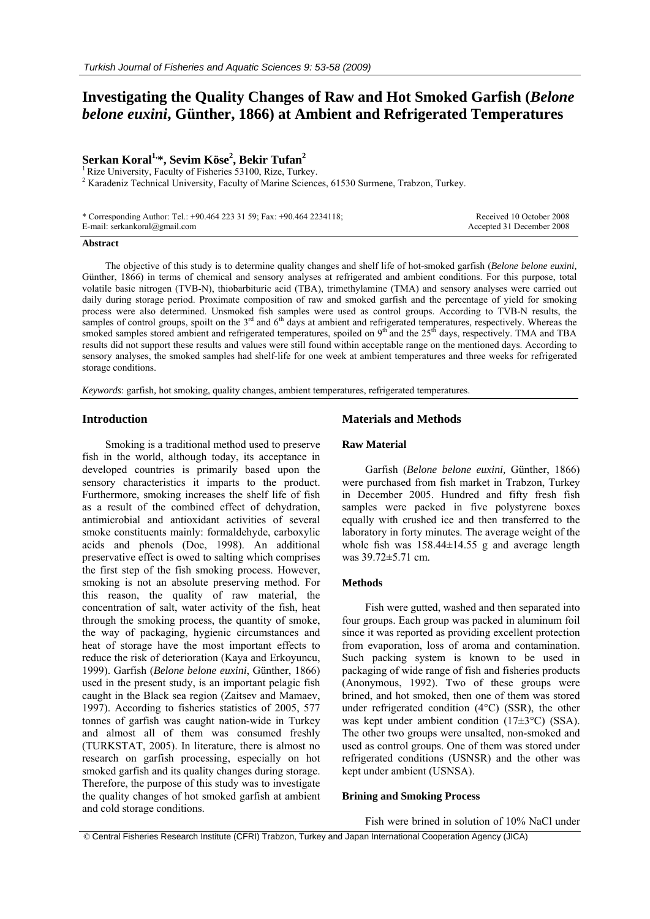# **Investigating the Quality Changes of Raw and Hot Smoked Garfish (***Belone belone euxini***, Günther, 1866) at Ambient and Refrigerated Temperatures**

# **Serkan Koral1,\*, Sevim Köse2 , Bekir Tufan<sup>2</sup>**

 $<sup>1</sup>$  Rize University, Faculty of Fisheries 53100, Rize, Turkey.</sup>

 $2^{2}$  Karadeniz Technical University, Faculty of Marine Sciences, 61530 Surmene, Trabzon, Turkey.

| * Corresponding Author: Tel.: +90.464 223 31 59; Fax: +90.464 2234118; | Received 10 October 2008  |
|------------------------------------------------------------------------|---------------------------|
| E-mail: serkankoral@gmail.com                                          | Accepted 31 December 2008 |

#### **Abstract**

The objective of this study is to determine quality changes and shelf life of hot-smoked garfish (*Belone belone euxini,*  Günther, 1866) in terms of chemical and sensory analyses at refrigerated and ambient conditions. For this purpose, total volatile basic nitrogen (TVB-N), thiobarbituric acid (TBA), trimethylamine (TMA) and sensory analyses were carried out daily during storage period. Proximate composition of raw and smoked garfish and the percentage of yield for smoking process were also determined. Unsmoked fish samples were used as control groups. According to TVB-N results, the samples of control groups, spoilt on the  $3<sup>rd</sup>$  and  $6<sup>th</sup>$  days at ambient and refrigerated temperatures, respectively. Whereas the smoked samples stored ambient and refrigerated temperatures, spoiled on 9<sup>th</sup> and the 25<sup>th</sup> days, respectively. TMA and TBA results did not support these results and values were still found within acceptable range on the mentioned days. According to sensory analyses, the smoked samples had shelf-life for one week at ambient temperatures and three weeks for refrigerated storage conditions.

*Keywords*: garfish*,* hot smoking, quality changes, ambient temperatures, refrigerated temperatures.

## **Introduction**

Smoking is a traditional method used to preserve fish in the world, although today, its acceptance in developed countries is primarily based upon the sensory characteristics it imparts to the product. Furthermore, smoking increases the shelf life of fish as a result of the combined effect of dehydration, antimicrobial and antioxidant activities of several smoke constituents mainly: formaldehyde, carboxylic acids and phenols (Doe, 1998). An additional preservative effect is owed to salting which comprises the first step of the fish smoking process. However, smoking is not an absolute preserving method. For this reason, the quality of raw material, the concentration of salt, water activity of the fish, heat through the smoking process, the quantity of smoke, the way of packaging, hygienic circumstances and heat of storage have the most important effects to reduce the risk of deterioration (Kaya and Erkoyuncu, 1999). Garfish (*Belone belone euxini*, Günther, 1866) used in the present study, is an important pelagic fish caught in the Black sea region (Zaitsev and Mamaev, 1997). According to fisheries statistics of 2005, 577 tonnes of garfish was caught nation-wide in Turkey and almost all of them was consumed freshly (TURKSTAT, 2005). In literature, there is almost no research on garfish processing, especially on hot smoked garfish and its quality changes during storage. Therefore, the purpose of this study was to investigate the quality changes of hot smoked garfish at ambient and cold storage conditions.

# **Materials and Methods**

#### **Raw Material**

Garfish (*Belone belone euxini,* Günther, 1866) were purchased from fish market in Trabzon, Turkey in December 2005. Hundred and fifty fresh fish samples were packed in five polystyrene boxes equally with crushed ice and then transferred to the laboratory in forty minutes. The average weight of the whole fish was  $158.44 \pm 14.55$  g and average length was 39.72±5.71 cm.

# **Methods**

Fish were gutted, washed and then separated into four groups. Each group was packed in aluminum foil since it was reported as providing excellent protection from evaporation, loss of aroma and contamination. Such packing system is known to be used in packaging of wide range of fish and fisheries products (Anonymous, 1992). Two of these groups were brined, and hot smoked, then one of them was stored under refrigerated condition (4°C) (SSR), the other was kept under ambient condition (17±3°C) (SSA). The other two groups were unsalted, non-smoked and used as control groups. One of them was stored under refrigerated conditions (USNSR) and the other was kept under ambient (USNSA).

### **Brining and Smoking Process**

Fish were brined in solution of 10% NaCl under

© Central Fisheries Research Institute (CFRI) Trabzon, Turkey and Japan International Cooperation Agency (JICA)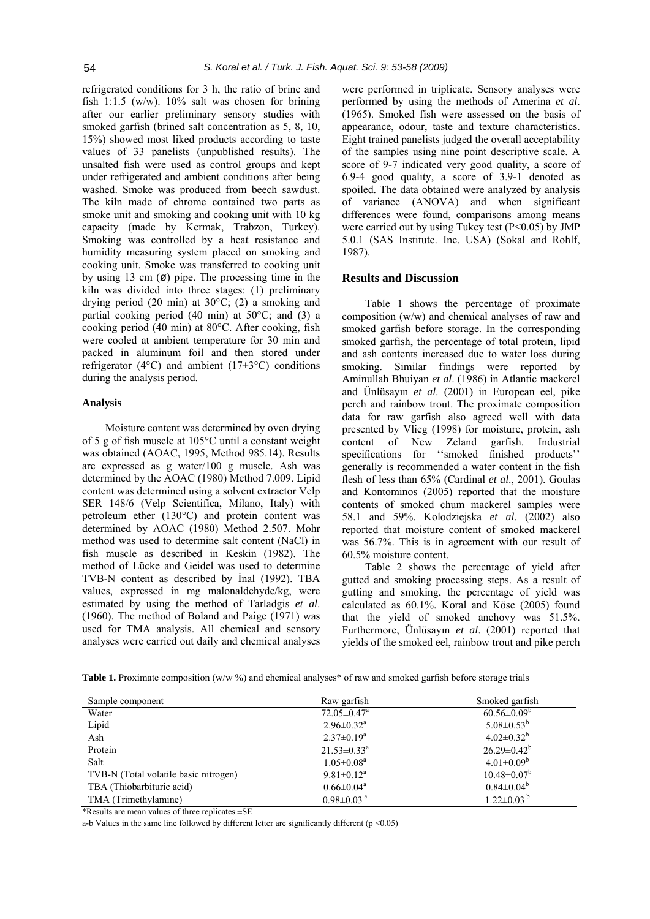refrigerated conditions for 3 h, the ratio of brine and fish 1:1.5 (w/w). 10% salt was chosen for brining after our earlier preliminary sensory studies with smoked garfish (brined salt concentration as 5, 8, 10, 15%) showed most liked products according to taste values of 33 panelists (unpublished results). The unsalted fish were used as control groups and kept under refrigerated and ambient conditions after being washed. Smoke was produced from beech sawdust. The kiln made of chrome contained two parts as smoke unit and smoking and cooking unit with 10 kg capacity (made by Kermak, Trabzon, Turkey). Smoking was controlled by a heat resistance and humidity measuring system placed on smoking and cooking unit. Smoke was transferred to cooking unit by using 13 cm  $(\emptyset)$  pipe. The processing time in the kiln was divided into three stages: (1) preliminary drying period (20 min) at 30°C; (2) a smoking and partial cooking period  $(40 \text{ min})$  at  $50^{\circ}\text{C}$ ; and  $(3)$  a cooking period (40 min) at 80°C. After cooking, fish were cooled at ambient temperature for 30 min and packed in aluminum foil and then stored under refrigerator (4 $^{\circ}$ C) and ambient (17 $\pm$ 3 $^{\circ}$ C) conditions during the analysis period.

## **Analysis**

Moisture content was determined by oven drying of 5 g of fish muscle at 105°C until a constant weight was obtained (AOAC, 1995, Method 985.14). Results are expressed as g water/100 g muscle. Ash was determined by the AOAC (1980) Method 7.009. Lipid content was determined using a solvent extractor Velp SER 148/6 (Velp Scientifica, Milano, Italy) with petroleum ether (130°C) and protein content was determined by AOAC (1980) Method 2.507. Mohr method was used to determine salt content (NaCl) in fish muscle as described in Keskin (1982). The method of Lücke and Geidel was used to determine TVB-N content as described by İnal (1992). TBA values, expressed in mg malonaldehyde/kg, were estimated by using the method of Tarladgis *et al*. (1960). The method of Boland and Paige (1971) was used for TMA analysis. All chemical and sensory analyses were carried out daily and chemical analyses

were performed in triplicate. Sensory analyses were performed by using the methods of Amerina *et al*. (1965). Smoked fish were assessed on the basis of appearance, odour, taste and texture characteristics. Eight trained panelists judged the overall acceptability of the samples using nine point descriptive scale. A score of 9-7 indicated very good quality, a score of 6.9-4 good quality, a score of 3.9-1 denoted as spoiled. The data obtained were analyzed by analysis of variance (ANOVA) and when significant differences were found, comparisons among means were carried out by using Tukey test  $(P<0.05)$  by JMP 5.0.1 (SAS Institute. Inc. USA) (Sokal and Rohlf, 1987).

#### **Results and Discussion**

Table 1 shows the percentage of proximate composition (w/w) and chemical analyses of raw and smoked garfish before storage. In the corresponding smoked garfish, the percentage of total protein, lipid and ash contents increased due to water loss during smoking. Similar findings were reported by Aminullah Bhuiyan *et al*. (1986) in Atlantic mackerel and Ünlüsayın *et al*. (2001) in European eel, pike perch and rainbow trout. The proximate composition data for raw garfish also agreed well with data presented by Vlieg (1998) for moisture, protein, ash content of New Zeland garfish. Industrial specifications for ''smoked finished products'' generally is recommended a water content in the fish flesh of less than 65% (Cardinal *et al*., 2001). Goulas and Kontominos (2005) reported that the moisture contents of smoked chum mackerel samples were 58.1 and 59%. Kolodziejska *et al*. (2002) also reported that moisture content of smoked mackerel was 56.7%. This is in agreement with our result of 60.5% moisture content.

Table 2 shows the percentage of yield after gutted and smoking processing steps. As a result of gutting and smoking, the percentage of yield was calculated as 60.1%. Koral and Köse (2005) found that the yield of smoked anchovy was 51.5%. Furthermore, Ünlüsayın *et al*. (2001) reported that yields of the smoked eel, rainbow trout and pike perch

**Table 1.** Proximate composition (w/w %) and chemical analyses<sup>\*</sup> of raw and smoked garfish before storage trials

| Sample component                      | Raw garfish                   | Smoked garfish      |
|---------------------------------------|-------------------------------|---------------------|
| Water                                 | $72.05 \pm 0.47$ <sup>a</sup> | $60.56 \pm 0.09^b$  |
| Lipid                                 | $2.96 \pm 0.32$ <sup>a</sup>  | $5.08 \pm 0.53^b$   |
| Ash                                   | $2.37 \pm 0.19^a$             | $4.02 \pm 0.32^b$   |
| Protein                               | $21.53 \pm 0.33^a$            | $26.29 \pm 0.42^b$  |
| Salt                                  | $1.05 \pm 0.08$ <sup>a</sup>  | $4.01 \pm 0.09^b$   |
| TVB-N (Total volatile basic nitrogen) | $9.81 \pm 0.12^a$             | $10.48 \pm 0.07^b$  |
| TBA (Thiobarbituric acid)             | $0.66 \pm 0.04^a$             | $0.84 \pm 0.04^b$   |
| TMA (Trimethylamine)                  | $0.98 \pm 0.03$ <sup>a</sup>  | $1.22 \pm 0.03^{b}$ |
|                                       |                               |                     |

\*Results are mean values of three replicates ±SE

a-b Values in the same line followed by different letter are significantly different ( $p \le 0.05$ )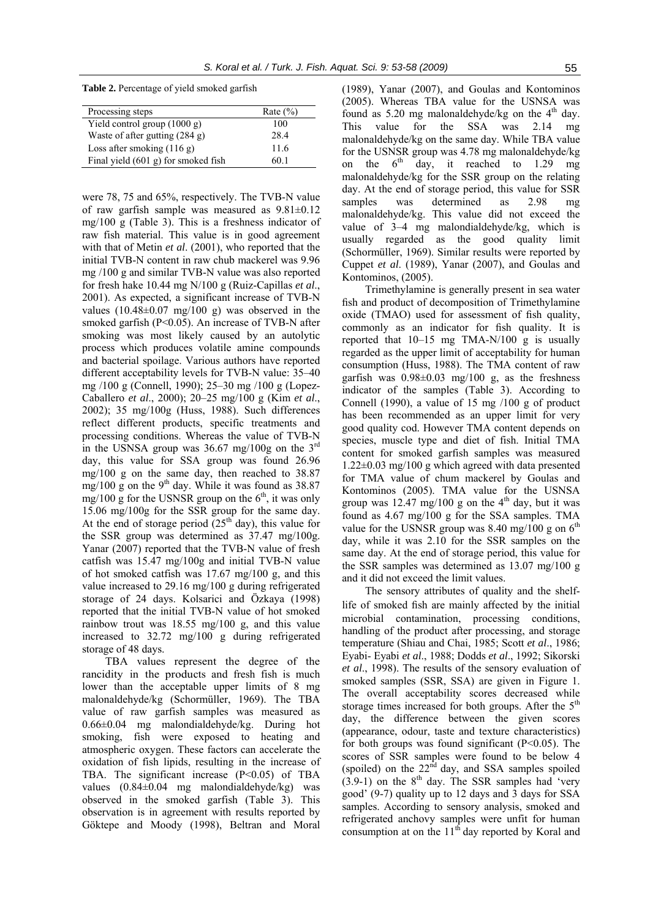**Table 2.** Percentage of yield smoked garfish

| Processing steps                    | Rate $(\% )$ |
|-------------------------------------|--------------|
| Yield control group (1000 g)        | 100          |
| Waste of after gutting (284 g)      | 28.4         |
| Loss after smoking $(116 g)$        | 11.6         |
| Final yield (601 g) for smoked fish | 60 1         |

were 78, 75 and 65%, respectively. The TVB-N value of raw garfish sample was measured as 9.81±0.12 mg/100 g (Table 3). This is a freshness indicator of raw fish material. This value is in good agreement with that of Metin *et al*. (2001), who reported that the initial TVB-N content in raw chub mackerel was 9.96 mg /100 g and similar TVB-N value was also reported for fresh hake 10.44 mg N/100 g (Ruiz-Capillas *et al*., 2001). As expected, a significant increase of TVB-N values  $(10.48\pm0.07 \text{ mg}/100 \text{ g})$  was observed in the smoked garfish (P<0.05). An increase of TVB-N after smoking was most likely caused by an autolytic process which produces volatile amine compounds and bacterial spoilage. Various authors have reported different acceptability levels for TVB-N value: 35–40 mg /100 g (Connell, 1990); 25–30 mg /100 g (Lopez-Caballero *et al*., 2000); 20–25 mg/100 g (Kim *et al*., 2002); 35 mg/100g (Huss, 1988). Such differences reflect different products, specific treatments and processing conditions. Whereas the value of TVB-N in the USNSA group was  $36.67$  mg/100g on the  $3<sup>rd</sup>$ day, this value for SSA group was found 26.96 mg/100 g on the same day, then reached to 38.87 mg/100 g on the 9<sup>th</sup> day. While it was found as  $38.87$ mg/100 g for the USNSR group on the  $6<sup>th</sup>$ , it was only 15.06 mg/100g for the SSR group for the same day. At the end of storage period  $(25<sup>th</sup>$  day), this value for the SSR group was determined as 37.47 mg/100g. Yanar (2007) reported that the TVB-N value of fresh catfish was 15.47 mg/100g and initial TVB-N value of hot smoked catfish was 17.67 mg/100 g, and this value increased to 29.16 mg/100 g during refrigerated storage of 24 days. Kolsarici and Özkaya (1998) reported that the initial TVB-N value of hot smoked rainbow trout was 18.55 mg/100 g, and this value increased to 32.72 mg/100 g during refrigerated storage of 48 days.

TBA values represent the degree of the rancidity in the products and fresh fish is much lower than the acceptable upper limits of 8 mg malonaldehyde/kg (Schormüller, 1969). The TBA value of raw garfish samples was measured as 0.66±0.04 mg malondialdehyde/kg. During hot smoking, fish were exposed to heating and atmospheric oxygen. These factors can accelerate the oxidation of fish lipids, resulting in the increase of TBA. The significant increase (P<0.05) of TBA values (0.84±0.04 mg malondialdehyde/kg) was observed in the smoked garfish (Table 3). This observation is in agreement with results reported by Göktepe and Moody (1998), Beltran and Moral (1989), Yanar (2007), and Goulas and Kontominos (2005). Whereas TBA value for the USNSA was found as 5.20 mg malonaldehyde/kg on the  $4<sup>th</sup>$  day. This value for the SSA was 2.14 mg malonaldehyde/kg on the same day. While TBA value for the USNSR group was 4.78 mg malonaldehyde/kg on the  $6<sup>th</sup>$  day, it reached to 1.29 mg malonaldehyde/kg for the SSR group on the relating day. At the end of storage period, this value for SSR samples was determined as 2.98 mg malonaldehyde/kg. This value did not exceed the value of 3–4 mg malondialdehyde/kg, which is usually regarded as the good quality limit (Schormüller, 1969). Similar results were reported by Cuppet *et al*. (1989), Yanar (2007), and Goulas and Kontominos, (2005).

Trimethylamine is generally present in sea water fish and product of decomposition of Trimethylamine oxide (TMAO) used for assessment of fish quality, commonly as an indicator for fish quality. It is reported that 10–15 mg TMA-N/100 g is usually regarded as the upper limit of acceptability for human consumption (Huss, 1988). The TMA content of raw garfish was  $0.98\pm0.03$  mg/100 g, as the freshness indicator of the samples (Table 3). According to Connell (1990), a value of 15 mg /100 g of product has been recommended as an upper limit for very good quality cod. However TMA content depends on species, muscle type and diet of fish. Initial TMA content for smoked garfish samples was measured 1.22±0.03 mg/100 g which agreed with data presented for TMA value of chum mackerel by Goulas and Kontominos (2005). TMA value for the USNSA group was  $12.47 \text{ mg}/100 \text{ g}$  on the  $4^{\text{th}}$  day, but it was found as 4.67 mg/100 g for the SSA samples. TMA value for the USNSR group was 8.40 mg/100 g on  $6<sup>th</sup>$ day, while it was 2.10 for the SSR samples on the same day. At the end of storage period, this value for the SSR samples was determined as 13.07 mg/100 g and it did not exceed the limit values.

The sensory attributes of quality and the shelflife of smoked fish are mainly affected by the initial microbial contamination, processing conditions, handling of the product after processing, and storage temperature (Shiau and Chai, 1985; Scott *et al*., 1986; Eyabi- Eyabi *et al*., 1988; Dodds *et al*., 1992; Sikorski *et al*., 1998). The results of the sensory evaluation of smoked samples (SSR, SSA) are given in Figure 1. The overall acceptability scores decreased while storage times increased for both groups. After the  $5<sup>th</sup>$ day, the difference between the given scores (appearance, odour, taste and texture characteristics) for both groups was found significant  $(P<0.05)$ . The scores of SSR samples were found to be below 4 (spoiled) on the  $22<sup>nd</sup>$  day, and SSA samples spoiled  $(3.9-1)$  on the 8<sup>th</sup> day. The SSR samples had 'very good' (9-7) quality up to 12 days and 3 days for SSA samples. According to sensory analysis, smoked and refrigerated anchovy samples were unfit for human consumption at on the  $11<sup>th</sup>$  day reported by Koral and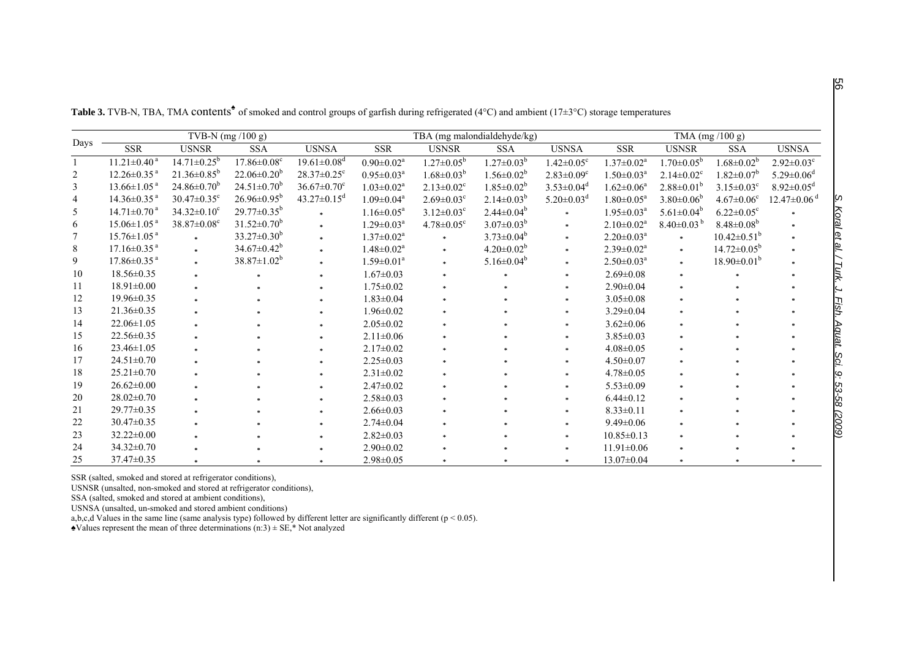| Days           | TVB-N (mg /100 g)             |                               |                               | TBA (mg malondialdehyde/kg)   |                              |                              | $\overline{\text{TMA (mg/100 g)}}$ |                              |                              |                              |                               |                               |
|----------------|-------------------------------|-------------------------------|-------------------------------|-------------------------------|------------------------------|------------------------------|------------------------------------|------------------------------|------------------------------|------------------------------|-------------------------------|-------------------------------|
|                | <b>SSR</b>                    | <b>USNSR</b>                  | <b>SSA</b>                    | <b>USNSA</b>                  | SSR                          | <b>USNSR</b>                 | <b>SSA</b>                         | <b>USNSA</b>                 | <b>SSR</b>                   | <b>USNSR</b>                 | <b>SSA</b>                    | <b>USNSA</b>                  |
|                | $11.21 \pm 0.40$ <sup>a</sup> | $14.71 \pm 0.25$ <sup>b</sup> | $17.86 \pm 0.08$ <sup>c</sup> | $19.61 \pm 0.08$ <sup>d</sup> | $0.90 \pm 0.02$ <sup>a</sup> | $1.27 \pm 0.05^{\rm b}$      | $1.27 \pm 0.03^b$                  | $1.42 \pm 0.05$ <sup>c</sup> | $1.37 \pm 0.02^a$            | $1.70 \pm 0.05^{\rm b}$      | $1.68 \pm 0.02^b$             | $2.92 \pm 0.03$ <sup>c</sup>  |
| $\overline{c}$ | $12.26 \pm 0.35$ <sup>a</sup> | $21.36 \pm 0.85^b$            | $22.06 \pm 0.20^b$            | $28.37 \pm 0.25$ <sup>c</sup> | $0.95 \pm 0.03^a$            | $1.68 \pm 0.03^b$            | $1.56 \pm 0.02^b$                  | $2.83 \pm 0.09$ <sup>c</sup> | $1.50 \pm 0.03^a$            | $2.14 \pm 0.02$ <sup>c</sup> | $1.82 \pm 0.07^b$             | $5.29 \pm 0.06$ <sup>d</sup>  |
| 3              | $13.66 \pm 1.05$ <sup>a</sup> | $24.86 \pm 0.70^b$            | $24.51 \pm 0.70^b$            | $36.67 \pm 0.70$ <sup>c</sup> | $1.03 \pm 0.02^a$            | $2.13 \pm 0.02$ <sup>c</sup> | $1.85 \pm 0.02^b$                  | $3.53 \pm 0.04$ <sup>d</sup> | $1.62 \pm 0.06^a$            | $2.88 \pm 0.01^b$            | $3.15 \pm 0.03^c$             | $8.92 \pm 0.05$ <sup>d</sup>  |
| 4              | $14.36 \pm 0.35$ <sup>a</sup> | $30.47 \pm 0.35$ <sup>c</sup> | $26.96 \pm 0.95^b$            | $43.27 \pm 0.15$ <sup>d</sup> | $1.09 \pm 0.04$ <sup>a</sup> | $2.69 \pm 0.03$ <sup>c</sup> | $2.14 \pm 0.03^{b}$                | $5.20 \pm 0.03$ <sup>d</sup> | $1.80 \pm 0.05^a$            | $3.80 \pm 0.06^b$            | $4.67 \pm 0.06$ <sup>c</sup>  | $12.47 \pm 0.06$ <sup>d</sup> |
| 5              | $14.71 \pm 0.70$ <sup>a</sup> | $34.32 \pm 0.10^c$            | $29.77 \pm 0.35^b$            |                               | $1.16 \pm 0.05^a$            | $3.12 \pm 0.03$ <sup>c</sup> | $2.44 \pm 0.04^b$                  |                              | $1.95 \pm 0.03^a$            | $5.61 \pm 0.04^b$            | $6.22 \pm 0.05$ <sup>c</sup>  |                               |
| 6              | $15.06 \pm 1.05$ <sup>a</sup> | $38.87 \pm 0.08$ <sup>c</sup> | $31.52 \pm 0.70^b$            | sk.                           | $1.29 \pm 0.03^a$            | $4.78 \pm 0.05$ <sup>c</sup> | $3.07 \pm 0.03^b$                  |                              | $2.10 \pm 0.02^a$            | $8.40\pm0.03^{b}$            | $8.48 \pm 0.08^b$             |                               |
|                | $15.76 \pm 1.05$ <sup>a</sup> |                               | $33.27 \pm 0.30^b$            |                               | $1.37 \pm 0.02^a$            |                              | $3.73 \pm 0.04^b$                  | *                            | $2.20 \pm 0.03^{\text{a}}$   | $\ast$                       | $10.42 \pm 0.51^{\mathrm{b}}$ |                               |
| 8              | $17.16 \pm 0.35$ <sup>a</sup> | $\ast$                        | $34.67 \pm 0.42^b$            | $\ast$                        | $1.48 \pm 0.02^a$            |                              | $4.20 \pm 0.02^b$                  |                              | $2.39 \pm 0.02^a$            | $\mathcal{R}^{\pm}$          | $14.72 \pm 0.05^b$            |                               |
| 9              | $17.86 \pm 0.35$ <sup>a</sup> | $\ast$                        | $38.87 \pm 1.02^b$            |                               | $1.59 \pm 0.01$ <sup>a</sup> |                              | $5.16 \pm 0.04^b$                  |                              | $2.50 \pm 0.03$ <sup>a</sup> | $\ast$                       | $18.90\pm0.01^b$              |                               |
| 10             | $18.56 \pm 0.35$              | $\approx$                     |                               |                               | $1.67 \pm 0.03$              |                              |                                    |                              | $2.69 \pm 0.08$              | $\gg$                        |                               |                               |
| 11             | $18.91 \pm 0.00$              |                               |                               |                               | $1.75 \pm 0.02$              |                              |                                    |                              | $2.90 \pm 0.04$              |                              |                               |                               |
| 12             | $19.96 \pm 0.35$              |                               |                               |                               | $1.83 \pm 0.04$              |                              |                                    |                              | $3.05 \pm 0.08$              |                              |                               |                               |
| 13             | $21.36 \pm 0.35$              |                               |                               |                               | $1.96 \pm 0.02$              |                              |                                    |                              | $3.29 \pm 0.04$              |                              |                               |                               |
| 14             | $22.06 \pm 1.05$              |                               |                               |                               | $2.05 \pm 0.02$              |                              |                                    |                              | $3.62 \pm 0.06$              |                              |                               |                               |
| 15             | $22.56 \pm 0.35$              |                               |                               |                               | $2.11 \pm 0.06$              |                              |                                    |                              | $3.85 \pm 0.03$              | $\ast$                       |                               |                               |
| 16             | $23.46 \pm 1.05$              |                               |                               |                               | $2.17 \pm 0.02$              |                              |                                    |                              | $4.08 \pm 0.05$              |                              |                               |                               |
| 17             | $24.51 \pm 0.70$              |                               |                               |                               | $2.25 \pm 0.03$              |                              |                                    |                              | $4.50 \pm 0.07$              |                              |                               |                               |
| 18             | $25.21 \pm 0.70$              |                               |                               |                               | $2.31 \pm 0.02$              |                              |                                    |                              | $4.78 \pm 0.05$              |                              |                               |                               |
| 19             | $26.62 \pm 0.00$              |                               |                               |                               | $2.47\pm0.02$                |                              |                                    |                              | $5.53 \pm 0.09$              |                              |                               |                               |
| 20             | $28.02 \pm 0.70$              |                               |                               |                               | $2.58 \pm 0.03$              |                              |                                    |                              | $6.44 \pm 0.12$              |                              |                               |                               |
| 21             | $29.77 \pm 0.35$              |                               |                               |                               | $2.66 \pm 0.03$              |                              |                                    |                              | $8.33 \pm 0.11$              |                              |                               |                               |
| 22             | $30.47 \pm 0.35$              |                               |                               |                               | $2.74 \pm 0.04$              |                              |                                    |                              | $9.49 \pm 0.06$              |                              |                               |                               |
| 23             | $32.22 \pm 0.00$              |                               |                               |                               | $2.82 \pm 0.03$              |                              |                                    |                              | $10.85 \pm 0.13$             |                              |                               |                               |
| 24             | $34.32 \pm 0.70$              |                               |                               |                               | $2.90 \pm 0.02$              |                              |                                    |                              | $11.91 \pm 0.06$             |                              |                               |                               |
| 25             | $37.47 \pm 0.35$              |                               |                               |                               | $2.98 \pm 0.05$              |                              |                                    |                              | $13.07 \pm 0.04$             |                              |                               |                               |

**Table 3.** TVB-N, TBA, TMA contents<sup>◆</sup> of smoked and control groups of garfish during refrigerated (4°C) and ambient (17±3°C) storage temperatures

SSR (salted, smoked and stored at refrigerator conditions),

USNSR (unsalted, non-smoked and stored at refrigerator conditions),

SSA (salted, smoked and stored at ambient conditions),

USNSA (unsalted, un-smoked and stored ambient conditions)

a,b,c,d Values in the same line (same analysis type) followed by different letter are significantly different ( $p < 0.05$ ).

 $\triangle$ Values represent the mean of three determinations (n:3)  $\pm$  SE,<sup>\*</sup> Not analyzed

ပ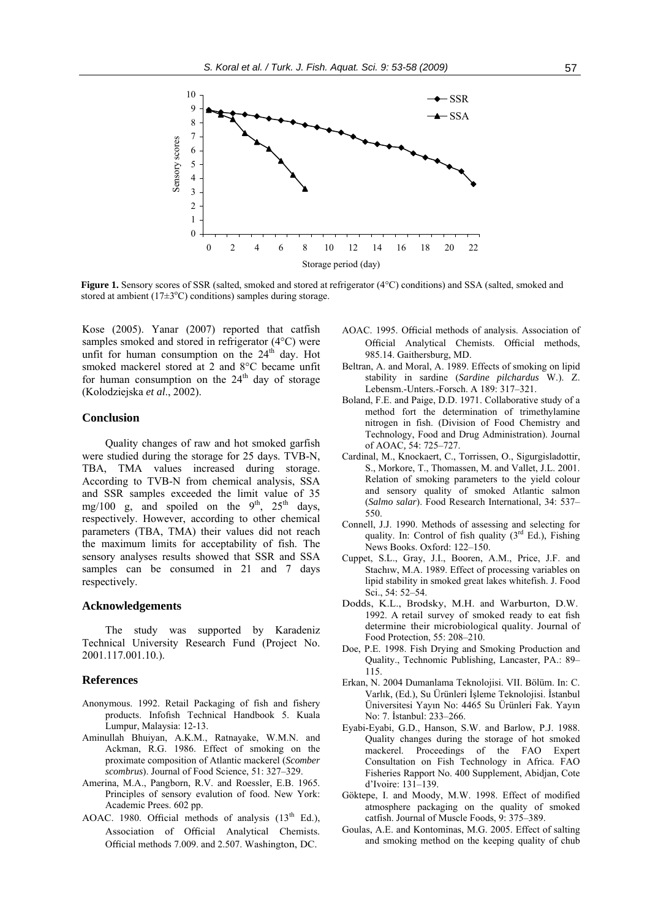

**Figure 1.** Sensory scores of SSR (salted, smoked and stored at refrigerator (4°C) conditions) and SSA (salted, smoked and stored at ambient  $(17\pm3^{\circ}C)$  conditions) samples during storage.

Kose (2005). Yanar (2007) reported that catfish samples smoked and stored in refrigerator (4°C) were unfit for human consumption on the  $24<sup>th</sup>$  day. Hot smoked mackerel stored at 2 and 8°C became unfit for human consumption on the  $24<sup>th</sup>$  day of storage (Kolodziejska *et al*., 2002).

#### **Conclusion**

Quality changes of raw and hot smoked garfish were studied during the storage for 25 days. TVB-N, TBA, TMA values increased during storage. According to TVB-N from chemical analysis, SSA and SSR samples exceeded the limit value of 35 mg/100 g, and spoiled on the  $9<sup>th</sup>$ ,  $25<sup>th</sup>$  days, respectively. However, according to other chemical parameters (TBA, TMA) their values did not reach the maximum limits for acceptability of fish. The sensory analyses results showed that SSR and SSA samples can be consumed in 21 and 7 days respectively.

# **Acknowledgements**

The study was supported by Karadeniz Technical University Research Fund (Project No. 2001.117.001.10.).

#### **References**

- Anonymous. 1992. Retail Packaging of fish and fishery products. Infofısh Technical Handbook 5. Kuala Lumpur, Malaysia: 12-13.
- Aminullah Bhuiyan, A.K.M., Ratnayake, W.M.N. and Ackman, R.G. 1986. Effect of smoking on the proximate composition of Atlantic mackerel (*Scomber scombrus*). Journal of Food Science, 51: 327–329.
- Amerina, M.A., Pangborn, R.V. and Roessler, E.B. 1965. Principles of sensory evalution of food. New York: Academic Prees. 602 pp.
- AOAC. 1980. Official methods of analysis  $(13<sup>th</sup> Ed.)$ , Association of Official Analytical Chemists. Official methods 7.009. and 2.507. Washington, DC.
- AOAC. 1995. Official methods of analysis. Association of Official Analytical Chemists. Official methods, 985.14. Gaithersburg, MD.
- Beltran, A. and Moral, A. 1989. Effects of smoking on lipid stability in sardine (*Sardine pilchardus* W.). Z. Lebensm.-Unters.-Forsch. A 189: 317–321.
- Boland, F.E. and Paige, D.D. 1971. Collaborative study of a method fort the determination of trimethylamine nitrogen in fish. (Division of Food Chemistry and Technology, Food and Drug Administration). Journal of AOAC*,* 54: 725–727.
- Cardinal, M., Knockaert, C., Torrissen, O., Sigurgisladottir, S., Morkore, T., Thomassen, M. and Vallet, J.L. 2001. Relation of smoking parameters to the yield colour and sensory quality of smoked Atlantic salmon (*Salmo salar*). Food Research International, 34: 537– 550.
- Connell, J.J. 1990. Methods of assessing and selecting for quality. In: Control of fish quality  $(3<sup>rd</sup> Ed.)$ , Fishing News Books. Oxford: 122–150.
- Cuppet, S.L., Gray, J.I., Booren, A.M., Price, J.F. and Stachıw, M.A. 1989. Effect of processing variables on lipid stability in smoked great lakes whitefish. J. Food Sci., 54: 52–54.
- Dodds, K.L., Brodsky, M.H. and Warburton, D.W. 1992. A retail survey of smoked ready to eat fish determine their microbiological quality. Journal of Food Protection, 55: 208–210.
- Doe, P.E. 1998. Fish Drying and Smoking Production and Quality., Technomic Publishing, Lancaster, PA.: 89– 115.
- Erkan, N. 2004 Dumanlama Teknolojisi. VII. Bölüm. In: C. Varlık, (Ed.), Su Ürünleri İşleme Teknolojisi. İstanbul Üniversitesi Yayın No: 4465 Su Ürünleri Fak. Yayın No: 7. İstanbul: 233–266.
- Eyabi-Eyabi, G.D., Hanson, S.W. and Barlow, P.J. 1988. Quality changes during the storage of hot smoked mackerel. Proceedings of the FAO Expert Consultation on Fish Technology in Africa. FAO Fisheries Rapport No. 400 Supplement, Abidjan, Cote d'Ivoire: 131–139.
- Göktepe, I. and Moody, M.W. 1998. Effect of modified atmosphere packaging on the quality of smoked catfish. Journal of Muscle Foods, 9: 375–389.
- Goulas, A.E. and Kontominas, M.G. 2005. Effect of salting and smoking method on the keeping quality of chub